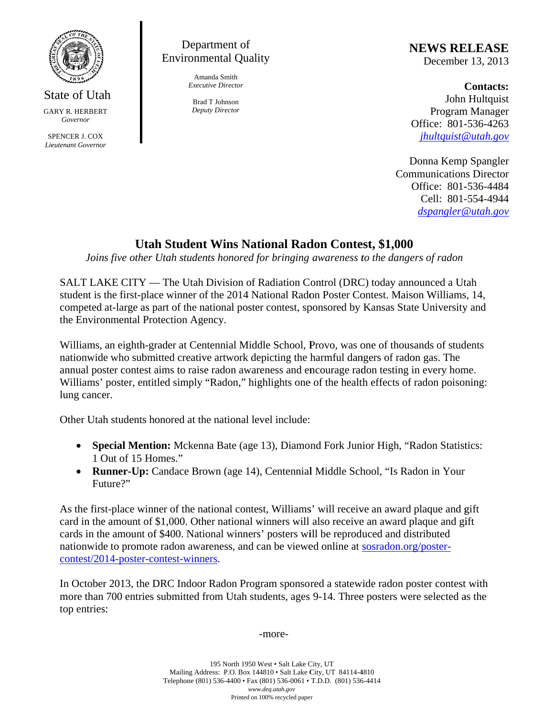

**State of Utah** 

**GARY R. HERBERT** Governor

SPENCER J. COX Lieutenant Governor

## Department of **Environmental Quality**

Amanda Smith **Executive Director** 

Brad T Johnson **Deputy Director** 

## **NEWS RELEASE**

December 13, 2013

**Contacts:** John Hultquist Program Manager Office: 801-536-4263  $jhultquist@utah.gov$ 

Donna Kemp Spangler **Communications Director** Office: 801-536-4484 Cell: 801-554-4944 dspangler@utah.gov

## **Utah Student Wins National Radon Contest, \$1,000**

Joins five other Utah students honored for bringing awareness to the dangers of radon

SALT LAKE CITY — The Utah Division of Radiation Control (DRC) today announced a Utah student is the first-place winner of the 2014 National Radon Poster Contest. Maison Williams, 14, competed at-large as part of the national poster contest, sponsored by Kansas State University and the Environmental Protection Agency.

Williams, an eighth-grader at Centennial Middle School, Provo, was one of thousands of students nationwide who submitted creative artwork depicting the harmful dangers of radon gas. The annual poster contest aims to raise radon awareness and encourage radon testing in every home. Williams' poster, entitled simply "Radon," highlights one of the health effects of radon poisoning: lung cancer.

Other Utah students honored at the national level include:

- Special Mention: Mckenna Bate (age 13), Diamond Fork Junior High, "Radon Statistics:  $\bullet$ 1 Out of 15 Homes."
- Runner-Up: Candace Brown (age 14), Centennial Middle School, "Is Radon in Your Future?"

As the first-place winner of the national contest, Williams' will receive an award plaque and gift card in the amount of \$1,000. Other national winners will also receive an award plaque and gift cards in the amount of \$400. National winners' posters will be reproduced and distributed nationwide to promote radon awareness, and can be viewed online at sosradon.org/postercontest/2014-poster-contest-winners.

In October 2013, the DRC Indoor Radon Program sponsored a statewide radon poster contest with more than 700 entries submitted from Utah students, ages 9-14. Three posters were selected as the top entries:

-more-

195 North 1950 West . Salt Lake City, UT Mailing Address: P.O. Box 144810 • Salt Lake City, UT 84114-4810 Telephone (801) 536-4400 • Fax (801) 536-0061 • T.D.D. (801) 536-4414 www.deq.utah.gov Printed on 100% recycled paper